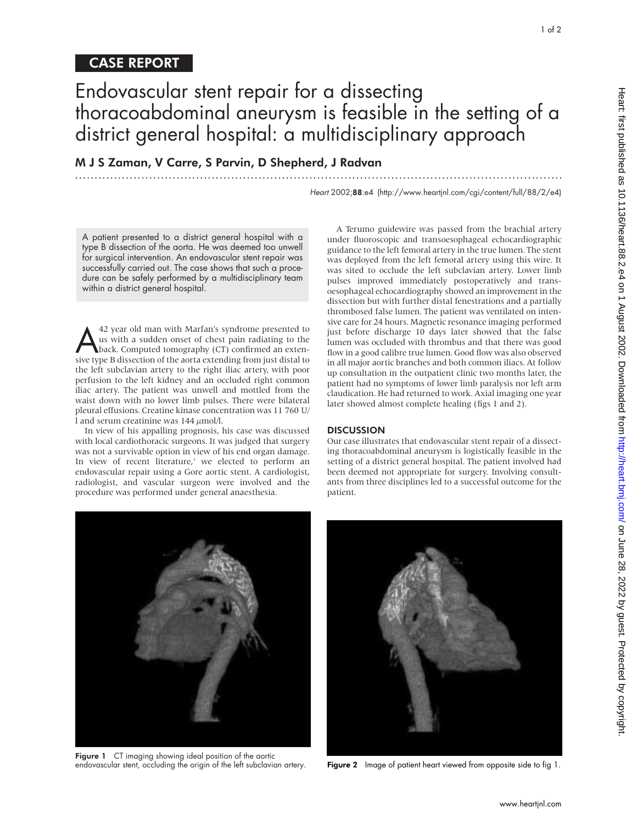## CASE REPORT

# Endovascular stent repair for a dissecting thoracoabdominal aneurysm is feasible in the setting of a district general hospital: a multidisciplinary approach

.............................................................................................................................

M J S Zaman, V Carre, S Parvin, D Shepherd, J Radvan

Heart 2002;88:e4 (http://www.heartjnl.com/cgi/content/full/88/2/e4)

A patient presented to a district general hospital with a type B dissection of the aorta. He was deemed too unwell for surgical intervention. An endovascular stent repair was successfully carried out. The case shows that such a procedure can be safely performed by a multidisciplinary team within a district general hospital.

42 year old man with Marfan's syndrome presented to<br>us with a sudden onset of chest pain radiating to the<br>back. Computed tomography (CT) confirmed an exten-<br>sive type B dissection of the aorta extending from just distal to us with a sudden onset of chest pain radiating to the sive type B dissection of the aorta extending from just distal to the left subclavian artery to the right iliac artery, with poor perfusion to the left kidney and an occluded right common iliac artery. The patient was unwell and mottled from the waist down with no lower limb pulses. There were bilateral pleural effusions. Creatine kinase concentration was 11 760 U/ l and serum creatinine was  $144 \mu$ mol/l.

In view of his appalling prognosis, his case was discussed with local cardiothoracic surgeons. It was judged that surgery was not a survivable option in view of his end organ damage. In view of recent literature, $1$  we elected to perform an endovascular repair using a Gore aortic stent. A cardiologist, radiologist, and vascular surgeon were involved and the procedure was performed under general anaesthesia.

A Terumo guidewire was passed from the brachial artery under fluoroscopic and transoesophageal echocardiographic guidance to the left femoral artery in the true lumen. The stent was deployed from the left femoral artery using this wire. It was sited to occlude the left subclavian artery. Lower limb pulses improved immediately postoperatively and transoesophageal echocardiography showed an improvement in the dissection but with further distal fenestrations and a partially thrombosed false lumen. The patient was ventilated on intensive care for 24 hours. Magnetic resonance imaging performed just before discharge 10 days later showed that the false lumen was occluded with thrombus and that there was good flow in a good calibre true lumen. Good flow was also observed in all major aortic branches and both common iliacs. At follow up consultation in the outpatient clinic two months later, the patient had no symptoms of lower limb paralysis nor left arm claudication. He had returned to work. Axial imaging one year later showed almost complete healing (figs 1 and 2).

#### **DISCUSSION**

Our case illustrates that endovascular stent repair of a dissecting thoracoabdominal aneurysm is logistically feasible in the setting of a district general hospital. The patient involved had been deemed not appropriate for surgery. Involving consultants from three disciplines led to a successful outcome for the patient.

Figure 1 CT imaging showing ideal position of the aortic<br>endovascular stent, occluding the origin of the left subclavian artery.

Figure 2 Image of patient heart viewed from opposite side to fig 1.